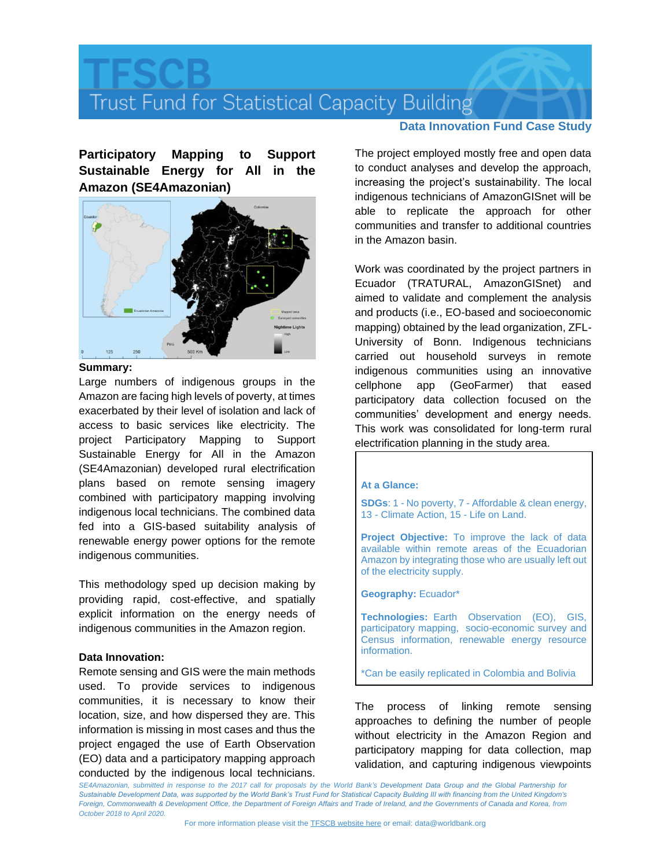# Trust Fund for Statistical Capacity Building

**Participatory Mapping to Support Sustainable Energy for All in the Amazon (SE4Amazonian)**



## **Summary:**

Large numbers of indigenous groups in the Amazon are facing high levels of poverty, at times exacerbated by their level of isolation and lack of access to basic services like electricity. The project Participatory Mapping to Support Sustainable Energy for All in the Amazon (SE4Amazonian) developed rural electrification plans based on remote sensing imagery combined with participatory mapping involving indigenous local technicians. The combined data fed into a GIS-based suitability analysis of renewable energy power options for the remote indigenous communities.

This methodology sped up decision making by providing rapid, cost-effective, and spatially explicit information on the energy needs of indigenous communities in the Amazon region.

## **Data Innovation:**

Remote sensing and GIS were the main methods used. To provide services to indigenous communities, it is necessary to know their location, size, and how dispersed they are. This information is missing in most cases and thus the project engaged the use of Earth Observation (EO) data and a participatory mapping approach conducted by the indigenous local technicians.

# **Data Innovation Fund Case Study**

The project employed mostly free and open data to conduct analyses and develop the approach, increasing the project's sustainability. The local indigenous technicians of AmazonGISnet will be able to replicate the approach for other communities and transfer to additional countries in the Amazon basin.

Work was coordinated by the project partners in Ecuador (TRATURAL, AmazonGISnet) and aimed to validate and complement the analysis and products (i.e., EO-based and socioeconomic mapping) obtained by the lead organization, ZFL-University of Bonn. Indigenous technicians carried out household surveys in remote indigenous communities using an innovative cellphone app (GeoFarmer) that eased participatory data collection focused on the communities' development and energy needs. This work was consolidated for long-term rural electrification planning in the study area.

#### **At a Glance:**

**SDGs**: 1 - No poverty, 7 - Affordable & clean energy, 13 - Climate Action, 15 - Life on Land.

**Project Objective:** To improve the lack of data available within remote areas of the Ecuadorian Amazon by integrating those who are usually left out of the electricity supply.

**Geography:** Ecuador\*

**Technologies:** Earth Observation (EO), GIS, participatory mapping, socio-economic survey and Census information, renewable energy resource information.

\*Can be easily replicated in Colombia and Bolivia

The process of linking remote sensing approaches to defining the number of people without electricity in the Amazon Region and participatory mapping for data collection, map validation, and capturing indigenous viewpoints

*SE4Amazonian, submitted in response to the 2017 call for proposals by the World Bank's Development Data Group and the Global Partnership for*  Sustainable Development Data, was supported by the World Bank's Trust Fund for Statistical Capacity Building III with financing from the United Kingdom's *Foreign, Commonwealth & Development Office, the Department of Foreign Affairs and Trade of Ireland, and the Governments of Canada and Korea, from October 2018 to April 2020.*